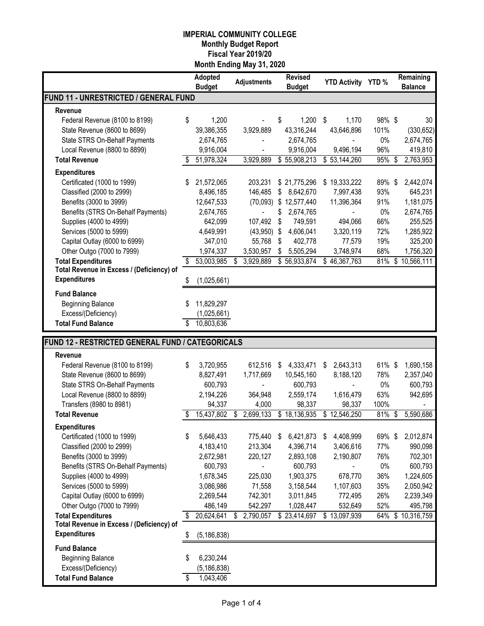|                                                  |    | Adopted<br><b>Budget</b> | <b>Adjustments</b> |           |    | <b>Revised</b><br><b>Budget</b> | <b>YTD Activity YTD %</b> |              |        | Remaining<br><b>Balance</b> |  |
|--------------------------------------------------|----|--------------------------|--------------------|-----------|----|---------------------------------|---------------------------|--------------|--------|-----------------------------|--|
| FUND 11 - UNRESTRICTED / GENERAL FUND            |    |                          |                    |           |    |                                 |                           |              |        |                             |  |
| Revenue                                          |    |                          |                    |           |    |                                 |                           |              |        |                             |  |
| Federal Revenue (8100 to 8199)                   | \$ | 1,200                    |                    |           | \$ | 1,200                           | \$                        | 1,170        | 98%\$  | 30                          |  |
| State Revenue (8600 to 8699)                     |    | 39,386,355               |                    | 3,929,889 |    | 43,316,244                      |                           | 43,646,896   | 101%   | (330, 652)                  |  |
| State STRS On-Behalf Payments                    |    | 2,674,765                |                    |           |    | 2,674,765                       |                           |              | 0%     | 2,674,765                   |  |
| Local Revenue (8800 to 8899)                     |    | 9,916,004                |                    |           |    | 9,916,004                       |                           | 9,496,194    | 96%    | 419,810                     |  |
| <b>Total Revenue</b>                             |    | 51,978,324               |                    | 3,929,889 |    | \$55,908,213                    |                           | \$53,144,260 | 95%    | \$<br>2,763,953             |  |
| <b>Expenditures</b>                              |    |                          |                    |           |    |                                 |                           |              |        |                             |  |
| Certificated (1000 to 1999)                      | S  | 21,572,065               |                    | 203,231   |    | \$21,775,296                    |                           | \$19,333,222 | 89%\$  | 2,442,074                   |  |
| Classified (2000 to 2999)                        |    | 8,496,185                |                    | 146,485   | \$ | 8,642,670                       |                           | 7,997,438    | 93%    | 645,231                     |  |
| Benefits (3000 to 3999)                          |    | 12,647,533               |                    | (70,093)  |    | \$12,577,440                    |                           | 11,396,364   | 91%    | 1,181,075                   |  |
| Benefits (STRS On-Behalf Payments)               |    | 2,674,765                |                    |           | \$ | 2,674,765                       |                           |              | 0%     | 2,674,765                   |  |
| Supplies (4000 to 4999)                          |    | 642,099                  |                    | 107,492   | \$ | 749,591                         |                           | 494,066      | 66%    | 255,525                     |  |
| Services (5000 to 5999)                          |    | 4,649,991                |                    | (43,950)  | \$ | 4,606,041                       |                           | 3,320,119    | 72%    | 1,285,922                   |  |
| Capital Outlay (6000 to 6999)                    |    | 347,010                  |                    | 55,768    | \$ | 402,778                         |                           | 77,579       | 19%    | 325,200                     |  |
| Other Outgo (7000 to 7999)                       |    | 1,974,337                |                    | 3,530,957 | \$ | 5,505,294                       |                           | 3,748,974    | 68%    | 1,756,320                   |  |
| <b>Total Expenditures</b>                        | S  | 53,003,985               | \$                 | 3,929,889 |    | \$56,933,874                    |                           | \$46,367,763 | 81%    | \$10,566,111                |  |
| Total Revenue in Excess / (Deficiency) of        |    |                          |                    |           |    |                                 |                           |              |        |                             |  |
| <b>Expenditures</b>                              | S  | (1,025,661)              |                    |           |    |                                 |                           |              |        |                             |  |
| <b>Fund Balance</b>                              |    |                          |                    |           |    |                                 |                           |              |        |                             |  |
| <b>Beginning Balance</b>                         |    | 11,829,297               |                    |           |    |                                 |                           |              |        |                             |  |
| Excess/(Deficiency)                              |    | (1,025,661)              |                    |           |    |                                 |                           |              |        |                             |  |
| <b>Total Fund Balance</b>                        |    | 10,803,636               |                    |           |    |                                 |                           |              |        |                             |  |
| FUND 12 - RESTRICTED GENERAL FUND / CATEGORICALS |    |                          |                    |           |    |                                 |                           |              |        |                             |  |
| Revenue                                          |    |                          |                    |           |    |                                 |                           |              |        |                             |  |
| Federal Revenue (8100 to 8199)                   | \$ | 3,720,955                |                    | 612,516   | S  | 4,333,471                       | S                         | 2,643,313    | 61% \$ | 1,690,158                   |  |
| State Revenue (8600 to 8699)                     |    | 8,827,491                |                    | 1,717,669 |    | 10,545,160                      |                           | 8,188,120    | 78%    | 2,357,040                   |  |
| State STRS On-Behalf Payments                    |    | 600,793                  |                    |           |    | 600,793                         |                           |              | 0%     | 600,793                     |  |
| Local Revenue (8800 to 8899)                     |    | 2,194,226                |                    | 364,948   |    | 2,559,174                       |                           | 1,616,479    | 63%    | 942,695                     |  |
| Transfers (8980 to 8981)                         |    | 94,337                   |                    | 4,000     |    | 98,337                          |                           | 98,337       | 100%   |                             |  |
| <b>Total Revenue</b>                             |    | 15,437,802               | \$                 | 2,699,133 |    | \$18,136,935                    | \$                        | 12,546,250   | 81%    | \$<br>5,590,686             |  |
| <b>Expenditures</b>                              |    |                          |                    |           |    |                                 |                           |              |        |                             |  |
| Certificated (1000 to 1999)                      | \$ | 5,646,433                |                    | 775,440   | \$ | 6,421,873                       | \$                        | 4,408,999    | 69%\$  | 2,012,874                   |  |
| Classified (2000 to 2999)                        |    | 4,183,410                |                    | 213,304   |    | 4,396,714                       |                           | 3,406,616    | 77%    | 990,098                     |  |
| Benefits (3000 to 3999)                          |    | 2,672,981                |                    | 220,127   |    | 2,893,108                       |                           | 2,190,807    | 76%    | 702,301                     |  |
| Benefits (STRS On-Behalf Payments)               |    | 600,793                  |                    |           |    | 600,793                         |                           |              | $0\%$  | 600,793                     |  |
| Supplies (4000 to 4999)                          |    | 1,678,345                |                    | 225,030   |    | 1,903,375                       |                           | 678,770      | 36%    | 1,224,605                   |  |
| Services (5000 to 5999)                          |    | 3,086,986                |                    | 71,558    |    | 3,158,544                       |                           | 1,107,603    | 35%    | 2,050,942                   |  |
| Capital Outlay (6000 to 6999)                    |    | 2,269,544                |                    | 742,301   |    | 3,011,845                       |                           | 772,495      | 26%    | 2,239,349                   |  |
| Other Outgo (7000 to 7999)                       |    | 486,149                  |                    | 542,297   |    | 1,028,447                       |                           | 532,649      | 52%    | 495,798                     |  |
| <b>Total Expenditures</b>                        | \$ | 20,624,641               |                    | 2,790,057 |    | \$23,414,697                    |                           | \$13,097,939 | 64%    | \$10,316,759                |  |
| Total Revenue in Excess / (Deficiency) of        |    |                          |                    |           |    |                                 |                           |              |        |                             |  |
| <b>Expenditures</b>                              | \$ | (5, 186, 838)            |                    |           |    |                                 |                           |              |        |                             |  |
| <b>Fund Balance</b>                              |    |                          |                    |           |    |                                 |                           |              |        |                             |  |
| <b>Beginning Balance</b>                         | \$ | 6,230,244                |                    |           |    |                                 |                           |              |        |                             |  |
| Excess/(Deficiency)                              |    | (5, 186, 838)            |                    |           |    |                                 |                           |              |        |                             |  |
| <b>Total Fund Balance</b>                        | \$ | 1,043,406                |                    |           |    |                                 |                           |              |        |                             |  |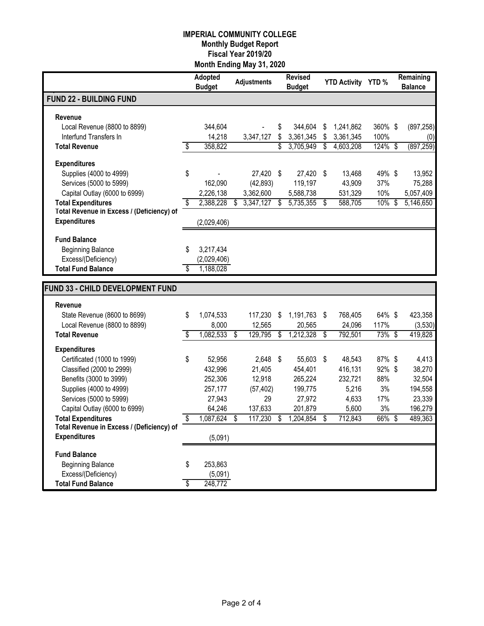|                                                                        | <b>Adopted</b><br><b>Budget</b> |    | <b>Adjustments</b> | <b>Revised</b><br><b>Budget</b> | <b>YTD Activity YTD %</b> |         | Remaining<br><b>Balance</b> |
|------------------------------------------------------------------------|---------------------------------|----|--------------------|---------------------------------|---------------------------|---------|-----------------------------|
| <b>FUND 22 - BUILDING FUND</b>                                         |                                 |    |                    |                                 |                           |         |                             |
| Revenue                                                                |                                 |    |                    |                                 |                           |         |                             |
| Local Revenue (8800 to 8899)                                           | 344,604                         |    |                    | \$<br>344,604                   | \$<br>1,241,862           | 360% \$ | (897, 258)                  |
| Interfund Transfers In                                                 | 14,218                          |    | 3,347,127          | \$<br>3,361,345                 | \$<br>3,361,345           | 100%    | (0)                         |
| <b>Total Revenue</b>                                                   | \$<br>358,822                   |    |                    | \$<br>3,705,949                 | \$<br>4,603,208           | 124%    | \$<br>(897, 259)            |
| <b>Expenditures</b>                                                    |                                 |    |                    |                                 |                           |         |                             |
| Supplies (4000 to 4999)                                                | \$                              |    | 27,420 \$          | 27,420                          | \$<br>13,468              | 49% \$  | 13,952                      |
| Services (5000 to 5999)                                                | 162,090                         |    | (42, 893)          | 119,197                         | 43,909                    | 37%     | 75,288                      |
| Capital Outlay (6000 to 6999)                                          | 2,226,138                       |    | 3,362,600          | 5,588,738                       | 531,329                   | 10%     | 5,057,409                   |
| <b>Total Expenditures</b>                                              | \$<br>2,388,228                 | S  | 3,347,127          | \$<br>5,735,355                 | \$<br>588,705             | 10%     | \$<br>5,146,650             |
| Total Revenue in Excess / (Deficiency) of                              |                                 |    |                    |                                 |                           |         |                             |
| <b>Expenditures</b>                                                    | (2,029,406)                     |    |                    |                                 |                           |         |                             |
| <b>Fund Balance</b>                                                    |                                 |    |                    |                                 |                           |         |                             |
| <b>Beginning Balance</b>                                               | \$<br>3,217,434                 |    |                    |                                 |                           |         |                             |
| Excess/(Deficiency)                                                    | (2,029,406)                     |    |                    |                                 |                           |         |                             |
| <b>Total Fund Balance</b>                                              | \$<br>1,188,028                 |    |                    |                                 |                           |         |                             |
|                                                                        |                                 |    |                    |                                 |                           |         |                             |
| FUND 33 - CHILD DEVELOPMENT FUND                                       |                                 |    |                    |                                 |                           |         |                             |
| Revenue                                                                |                                 |    |                    |                                 |                           |         |                             |
| State Revenue (8600 to 8699)                                           | \$<br>1,074,533                 |    | 117,230            | \$<br>1,191,763                 | \$<br>768,405             | 64% \$  | 423,358                     |
| Local Revenue (8800 to 8899)                                           | 8,000                           |    | 12,565             | 20,565                          | 24,096                    | 117%    | (3,530)                     |
| <b>Total Revenue</b>                                                   | \$<br>1,082,533                 | \$ | 129,795            | \$<br>1,212,328                 | \$<br>792,501             | 73%\$   | 419,828                     |
| <b>Expenditures</b>                                                    |                                 |    |                    |                                 |                           |         |                             |
| Certificated (1000 to 1999)                                            | \$<br>52,956                    |    | 2,648              | \$<br>55,603                    | \$<br>48,543              | 87% \$  | 4,413                       |
| Classified (2000 to 2999)                                              | 432,996                         |    | 21,405             | 454,401                         | 416,131                   | 92%\$   | 38,270                      |
| Benefits (3000 to 3999)                                                | 252,306                         |    | 12,918             | 265,224                         | 232,721                   | 88%     | 32,504                      |
| Supplies (4000 to 4999)                                                | 257,177                         |    | (57, 402)          | 199,775                         | 5,216                     | 3%      | 194,558                     |
| Services (5000 to 5999)                                                | 27,943                          |    | 29                 | 27,972                          | 4,633                     | 17%     | 23,339                      |
| Capital Outlay (6000 to 6999)                                          | 64,246                          |    | 137,633            | 201,879                         | 5,600                     | 3%      | 196,279                     |
| <b>Total Expenditures</b><br>Total Revenue in Excess / (Deficiency) of | \$<br>1,087,624                 | \$ | 117,230            | \$<br>1,204,854                 | \$<br>712,843             | 66% \$  | 489,363                     |
| <b>Expenditures</b>                                                    | (5,091)                         |    |                    |                                 |                           |         |                             |
| <b>Fund Balance</b>                                                    |                                 |    |                    |                                 |                           |         |                             |
| <b>Beginning Balance</b>                                               | \$<br>253,863                   |    |                    |                                 |                           |         |                             |
| Excess/(Deficiency)                                                    | (5,091)                         |    |                    |                                 |                           |         |                             |
| <b>Total Fund Balance</b>                                              | \$<br>248,772                   |    |                    |                                 |                           |         |                             |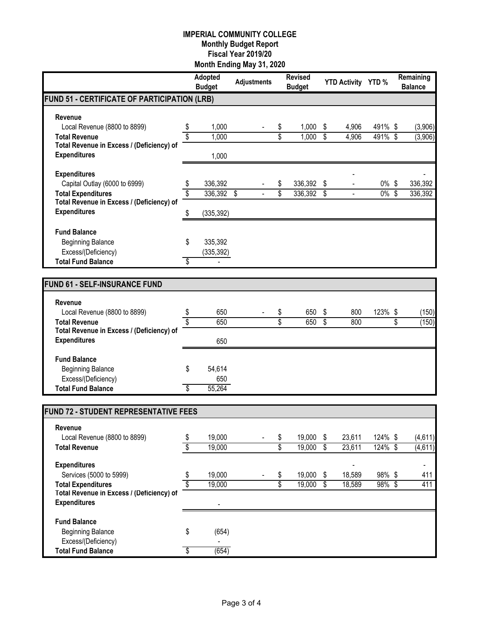|                                              |                 | Adopted<br><b>Budget</b> | <b>Adjustments</b> |                         | <b>Revised</b><br><b>Budget</b> |                          | <b>YTD Activity YTD %</b> |           | Remaining<br><b>Balance</b> |
|----------------------------------------------|-----------------|--------------------------|--------------------|-------------------------|---------------------------------|--------------------------|---------------------------|-----------|-----------------------------|
| FUND 51 - CERTIFICATE OF PARTICIPATION (LRB) |                 |                          |                    |                         |                                 |                          |                           |           |                             |
| Revenue                                      |                 |                          |                    |                         |                                 |                          |                           |           |                             |
| Local Revenue (8800 to 8899)                 | \$              | 1,000                    |                    | \$                      | 1,000                           | \$                       | 4,906                     | 491% \$   | (3,906)                     |
| <b>Total Revenue</b>                         | $\overline{\$}$ | 1,000                    |                    | $\overline{\$}$         | 1,000                           | $\overline{\mathbf{s}}$  | 4,906                     | 491% \$   | (3,906)                     |
| Total Revenue in Excess / (Deficiency) of    |                 |                          |                    |                         |                                 |                          |                           |           |                             |
| <b>Expenditures</b>                          |                 | 1,000                    |                    |                         |                                 |                          |                           |           |                             |
| <b>Expenditures</b>                          |                 |                          |                    |                         |                                 |                          |                           |           |                             |
| Capital Outlay (6000 to 6999)                | \$              | 336,392                  |                    | \$                      | 336,392                         | \$                       |                           | $0\%$     | \$<br>336,392               |
| <b>Total Expenditures</b>                    | \$              | 336,392 \$               |                    | \$                      | 336,392 \$                      |                          | $\blacksquare$            | $0\%$ \$  | 336,392                     |
| Total Revenue in Excess / (Deficiency) of    |                 |                          |                    |                         |                                 |                          |                           |           |                             |
| <b>Expenditures</b>                          | \$              | (335, 392)               |                    |                         |                                 |                          |                           |           |                             |
| <b>Fund Balance</b>                          |                 |                          |                    |                         |                                 |                          |                           |           |                             |
| <b>Beginning Balance</b>                     | \$              | 335,392                  |                    |                         |                                 |                          |                           |           |                             |
| Excess/(Deficiency)                          |                 | (335, 392)               |                    |                         |                                 |                          |                           |           |                             |
| <b>Total Fund Balance</b>                    | \$              |                          |                    |                         |                                 |                          |                           |           |                             |
|                                              |                 |                          |                    |                         |                                 |                          |                           |           |                             |
| <b>FUND 61 - SELF-INSURANCE FUND</b>         |                 |                          |                    |                         |                                 |                          |                           |           |                             |
| Revenue                                      |                 |                          |                    |                         |                                 |                          |                           |           |                             |
| Local Revenue (8800 to 8899)                 | \$              | 650                      |                    | \$                      | 650                             | \$                       | 800                       | 123% \$   | (150)                       |
| <b>Total Revenue</b>                         | \$              | 650                      |                    | \$                      | 650                             | $\overline{\mathcal{S}}$ | 800                       |           | \$<br>(150)                 |
| Total Revenue in Excess / (Deficiency) of    |                 |                          |                    |                         |                                 |                          |                           |           |                             |
| <b>Expenditures</b>                          |                 | 650                      |                    |                         |                                 |                          |                           |           |                             |
| <b>Fund Balance</b>                          |                 |                          |                    |                         |                                 |                          |                           |           |                             |
| <b>Beginning Balance</b>                     | \$              | 54,614                   |                    |                         |                                 |                          |                           |           |                             |
| Excess/(Deficiency)                          |                 | 650                      |                    |                         |                                 |                          |                           |           |                             |
| <b>Total Fund Balance</b>                    | S               | 55,264                   |                    |                         |                                 |                          |                           |           |                             |
|                                              |                 |                          |                    |                         |                                 |                          |                           |           |                             |
| <b>FUND 72 - STUDENT REPRESENTATIVE FEES</b> |                 |                          |                    |                         |                                 |                          |                           |           |                             |
| Revenue                                      |                 |                          |                    |                         |                                 |                          |                           |           |                             |
| Local Revenue (8800 to 8899)                 | \$              | 19,000                   |                    | \$                      | 19,000                          | \$                       | 23,611                    | 124% \$   | (4,611)                     |
| <b>Total Revenue</b>                         | \$              | 19,000                   |                    | \$                      | 19,000                          | $\overline{\mathcal{S}}$ | 23,611                    | 124% \$   | (4,611)                     |
| <b>Expenditures</b>                          |                 |                          |                    |                         |                                 |                          |                           |           | $\overline{\phantom{a}}$    |
| Services (5000 to 5999)                      | \$              | 19,000                   |                    | \$                      | 19,000                          | \$                       | 18,589                    | 98%\$     | 411                         |
| <b>Total Expenditures</b>                    | \$              | 19,000                   |                    | $\overline{\mathbb{S}}$ | 19,000                          | $\overline{\mathcal{S}}$ | 18,589                    | $98\%$ \$ | 411                         |
| Total Revenue in Excess / (Deficiency) of    |                 |                          |                    |                         |                                 |                          |                           |           |                             |
| <b>Expenditures</b>                          |                 |                          |                    |                         |                                 |                          |                           |           |                             |
| <b>Fund Balance</b>                          |                 |                          |                    |                         |                                 |                          |                           |           |                             |
| <b>Beginning Balance</b>                     | \$              | (654)                    |                    |                         |                                 |                          |                           |           |                             |
| Excess/(Deficiency)                          |                 |                          |                    |                         |                                 |                          |                           |           |                             |
| <b>Total Fund Balance</b>                    | \$              | (654)                    |                    |                         |                                 |                          |                           |           |                             |